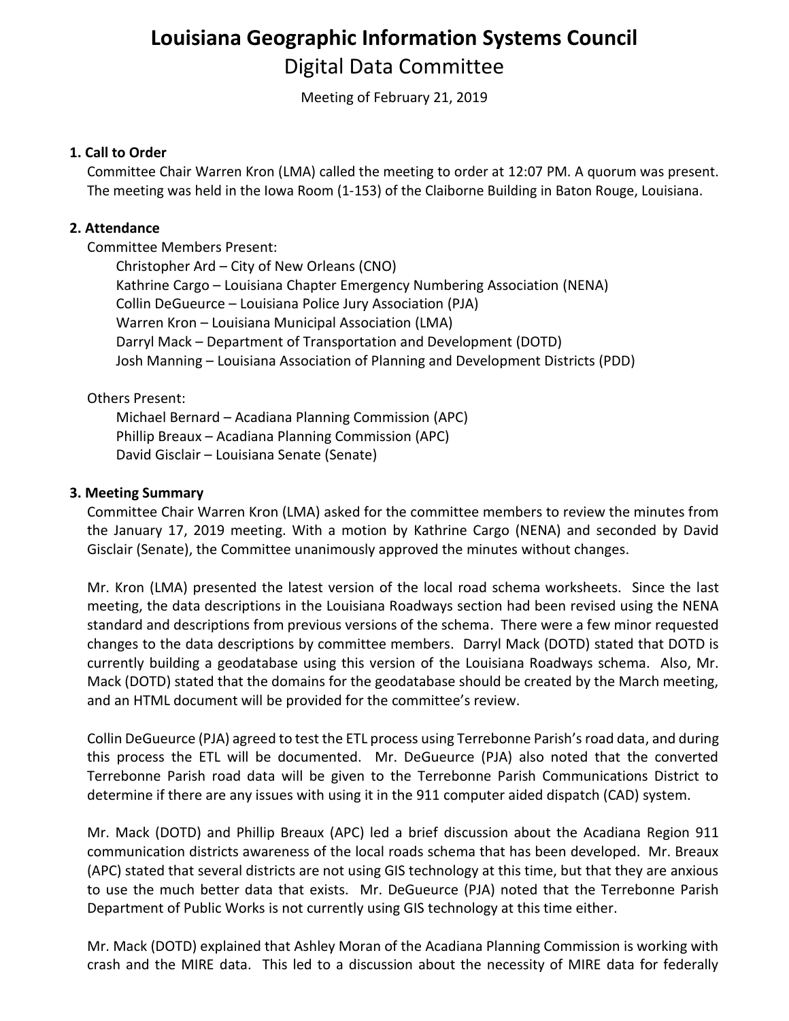# **Louisiana Geographic Information Systems Council** Digital Data Committee

Meeting of February 21, 2019

## **1. Call to Order**

Committee Chair Warren Kron (LMA) called the meeting to order at 12:07 PM. A quorum was present. The meeting was held in the Iowa Room (1-153) of the Claiborne Building in Baton Rouge, Louisiana.

## **2. Attendance**

Committee Members Present:

Christopher Ard – City of New Orleans (CNO) Kathrine Cargo – Louisiana Chapter Emergency Numbering Association (NENA) Collin DeGueurce – Louisiana Police Jury Association (PJA) Warren Kron – Louisiana Municipal Association (LMA) Darryl Mack – Department of Transportation and Development (DOTD) Josh Manning – Louisiana Association of Planning and Development Districts (PDD)

## Others Present:

Michael Bernard – Acadiana Planning Commission (APC) Phillip Breaux – Acadiana Planning Commission (APC) David Gisclair – Louisiana Senate (Senate)

## **3. Meeting Summary**

Committee Chair Warren Kron (LMA) asked for the committee members to review the minutes from the January 17, 2019 meeting. With a motion by Kathrine Cargo (NENA) and seconded by David Gisclair (Senate), the Committee unanimously approved the minutes without changes.

Mr. Kron (LMA) presented the latest version of the local road schema worksheets. Since the last meeting, the data descriptions in the Louisiana Roadways section had been revised using the NENA standard and descriptions from previous versions of the schema. There were a few minor requested changes to the data descriptions by committee members. Darryl Mack (DOTD) stated that DOTD is currently building a geodatabase using this version of the Louisiana Roadways schema. Also, Mr. Mack (DOTD) stated that the domains for the geodatabase should be created by the March meeting, and an HTML document will be provided for the committee's review.

Collin DeGueurce (PJA) agreed to test the ETL process using Terrebonne Parish's road data, and during this process the ETL will be documented. Mr. DeGueurce (PJA) also noted that the converted Terrebonne Parish road data will be given to the Terrebonne Parish Communications District to determine if there are any issues with using it in the 911 computer aided dispatch (CAD) system.

Mr. Mack (DOTD) and Phillip Breaux (APC) led a brief discussion about the Acadiana Region 911 communication districts awareness of the local roads schema that has been developed. Mr. Breaux (APC) stated that several districts are not using GIS technology at this time, but that they are anxious to use the much better data that exists. Mr. DeGueurce (PJA) noted that the Terrebonne Parish Department of Public Works is not currently using GIS technology at this time either.

Mr. Mack (DOTD) explained that Ashley Moran of the Acadiana Planning Commission is working with crash and the MIRE data. This led to a discussion about the necessity of MIRE data for federally